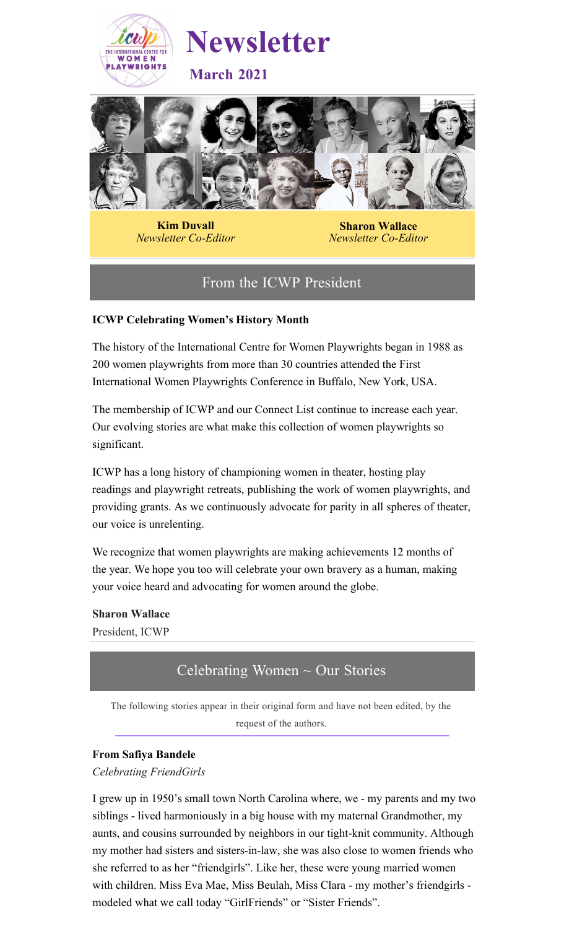



**Kim Duvall** *Newsletter Co-Editor*

**Sharon Wallace** *Newsletter Co-Editor*

# From the ICWP President

## **ICWP Celebrating Women's History Month**

The history of the International Centre for Women Playwrights began in 1988 as 200 women playwrights from more than 30 countries attended the First International Women Playwrights Conference in Buffalo, New York, USA.

The membership of ICWP and our Connect List continue to increase each year. Our evolving stories are what make this collection of women playwrights so significant.

ICWP has a long history of championing women in theater, hosting play readings and playwright retreats, publishing the work of women playwrights, and providing grants. As we continuously advocate for parity in all spheres of theater, our voice is unrelenting.

We recognize that women playwrights are making achievements 12 months of the year. We hope you too will celebrate your own bravery as a human, making your voice heard and advocating for women around the globe.

**Sharon Wallace** President, ICWP

# Celebrating Women  $\sim$  Our Stories

The following stories appear in their original form and have not been edited, by the request of the authors.

### **From Safiya Bandele**

### *Celebrating FriendGirls*

I grew up in 1950's small town North Carolina where, we - my parents and my two siblings - lived harmoniously in a big house with my maternal Grandmother, my aunts, and cousins surrounded by neighbors in our tight-knit community. Although my mother had sisters and sisters-in-law, she was also close to women friends who she referred to as her "friendgirls". Like her, these were young married women with children. Miss Eva Mae, Miss Beulah, Miss Clara - my mother's friendgirls modeled what we call today "GirlFriends" or "Sister Friends".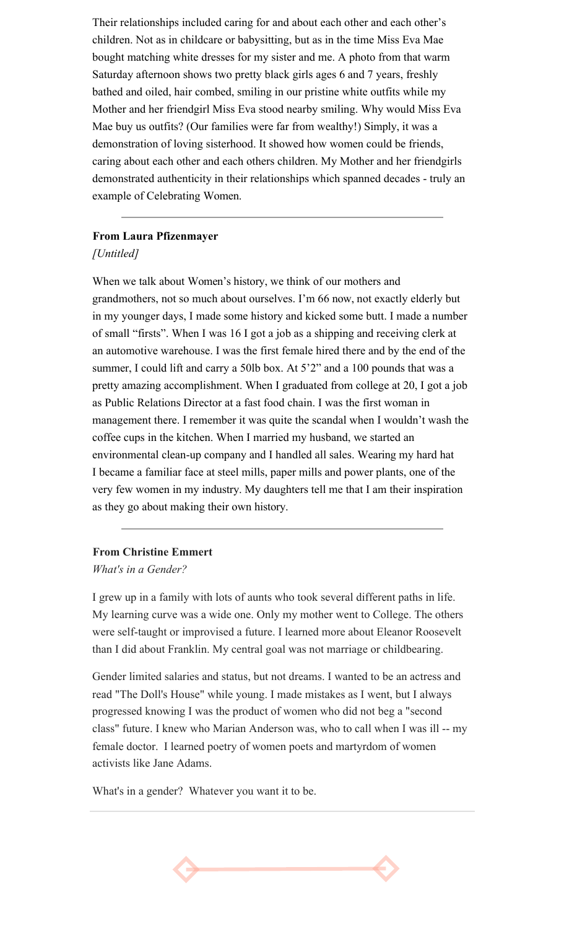Their relationships included caring for and about each other and each other's children. Not as in childcare or babysitting, but as in the time Miss Eva Mae bought matching white dresses for my sister and me. A photo from that warm Saturday afternoon shows two pretty black girls ages 6 and 7 years, freshly bathed and oiled, hair combed, smiling in our pristine white outfits while my Mother and her friendgirl Miss Eva stood nearby smiling. Why would Miss Eva Mae buy us outfits? (Our families were far from wealthy!) Simply, it was a demonstration of loving sisterhood. It showed how women could be friends, caring about each other and each others children. My Mother and her friendgirls demonstrated authenticity in their relationships which spanned decades - truly an example of Celebrating Women.

#### **From Laura Pfizenmayer**

#### *[Untitled]*

When we talk about Women's history, we think of our mothers and grandmothers, not so much about ourselves. I'm 66 now, not exactly elderly but in my younger days, I made some history and kicked some butt. I made a number of small "firsts". When I was 16 I got a job as a shipping and receiving clerk at an automotive warehouse. I was the first female hired there and by the end of the summer, I could lift and carry a 50lb box. At 5'2" and a 100 pounds that was a pretty amazing accomplishment. When I graduated from college at 20, I got a job as Public Relations Director at a fast food chain. I was the first woman in management there. I remember it was quite the scandal when I wouldn't wash the coffee cups in the kitchen. When I married my husband, we started an environmental clean-up company and I handled all sales. Wearing my hard hat I became a familiar face at steel mills, paper mills and power plants, one of the very few women in my industry. My daughters tell me that I am their inspiration as they go about making their own history.

### **From Christine Emmert**

*What's in a Gender?*

I grew up in a family with lots of aunts who took several different paths in life. My learning curve was a wide one. Only my mother went to College. The others were self-taught or improvised a future. I learned more about Eleanor Roosevelt than I did about Franklin. My central goal was not marriage or childbearing.

Gender limited salaries and status, but not dreams. I wanted to be an actress and read "The Doll's House" while young. I made mistakes as I went, but I always progressed knowing I was the product of women who did not beg a "second class" future. I knew who Marian Anderson was, who to call when I was ill -- my female doctor. I learned poetry of women poets and martyrdom of women activists like Jane Adams.

What's in a gender? Whatever you want it to be.

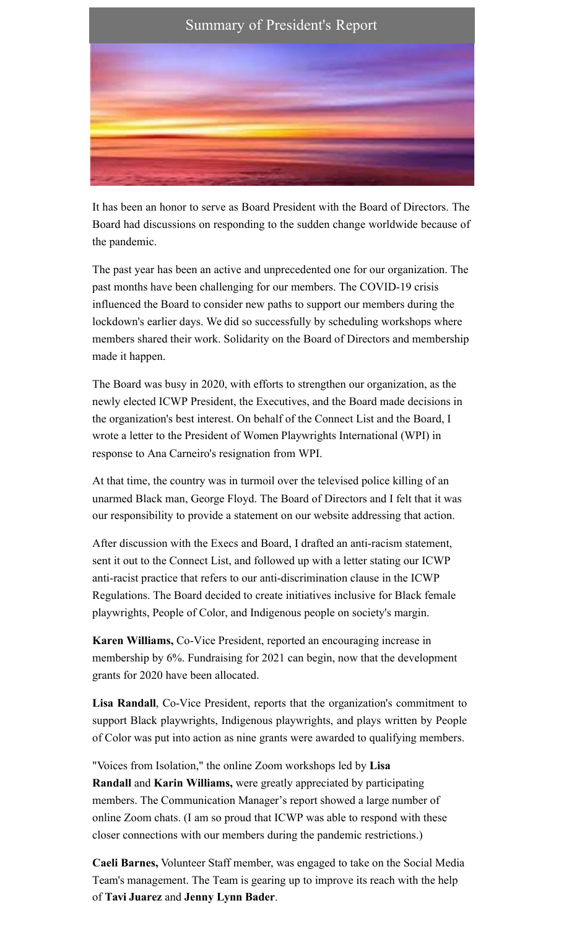

It has been an honor to serve as Board President with the Board of Directors. The Board had discussions on responding to the sudden change worldwide because of the pandemic.

The past year has been an active and unprecedented one for our organization. The past months have been challenging for our members. The COVID-19 crisis influenced the Board to consider new paths to support our members during the lockdown's earlier days. We did so successfully by scheduling workshops where members shared their work. Solidarity on the Board of Directors and membership made it happen.

The Board was busy in 2020, with efforts to strengthen our organization, as the newly elected ICWP President, the Executives, and the Board made decisions in the organization's best interest. On behalf of the Connect List and the Board, I wrote a letter to the President of Women Playwrights International (WPI) in response to Ana Carneiro's resignation from WPI.

At that time, the country was in turmoil over the televised police killing of an unarmed Black man, George Floyd. The Board of Directors and I felt that it was our responsibility to provide a statement on our website addressing that action.

After discussion with the Execs and Board, I drafted an anti-racism statement, sent it out to the Connect List, and followed up with a letter stating our ICWP anti-racist practice that refers to our anti-discrimination clause in the ICWP Regulations. The Board decided to create initiatives inclusive for Black female playwrights, People of Color, and Indigenous people on society's margin.

**Karen Williams,** Co-Vice President, reported an encouraging increase in membership by 6%. Fundraising for 2021 can begin, now that the development grants for 2020 have been allocated.

**Lisa Randall**, Co-Vice President, reports that the organization's commitment to support Black playwrights, Indigenous playwrights, and plays written by People of Color was put into action as nine grants were awarded to qualifying members.

"Voices from Isolation," the online Zoom workshops led by **Lisa Randall** and **Karin Williams,** were greatly appreciated by participating members. The Communication Manager's report showed a large number of online Zoom chats. (I am so proud that ICWP was able to respond with these closer connections with our members during the pandemic restrictions.)

**Caeli Barnes,** Volunteer Staff member, was engaged to take on the Social Media Team's management. The Team is gearing up to improve its reach with the help of **Tavi Juarez** and **Jenny Lynn Bader**.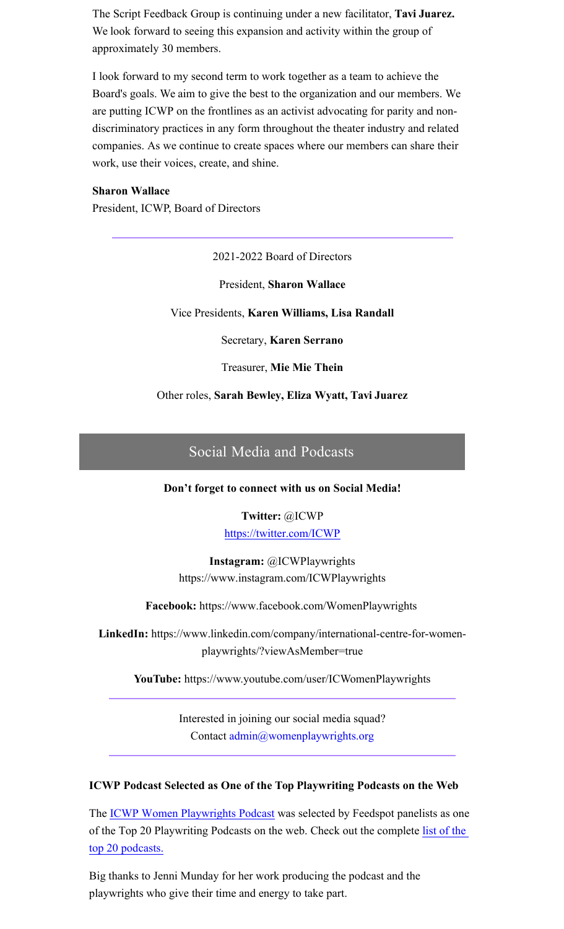The Script Feedback Group is continuing under a new facilitator, **Tavi Juarez.** We look forward to seeing this expansion and activity within the group of approximately 30 members.

I look forward to my second term to work together as a team to achieve the Board's goals. We aim to give the best to the organization and our members. We are putting ICWP on the frontlines as an activist advocating for parity and nondiscriminatory practices in any form throughout the theater industry and related companies. As we continue to create spaces where our members can share their work, use their voices, create, and shine.

#### **Sharon Wallace**

President, ICWP, Board of Directors

2021-2022 Board of Directors

President, **Sharon Wallace**

Vice Presidents, **Karen Williams, Lisa Randall**

Secretary, **Karen Serrano**

Treasurer, **Mie Mie Thein**

Other roles, **Sarah Bewley, Eliza Wyatt, Tavi Juarez**

## Social Media and Podcasts

**Don't forget to connect with us on Social Media!**

# **Twitter:** @ICWP

https://twitter.com/ICWP

**Instagram:** @ICWPlaywrights https://www.instagram.com/ICWPlaywrights

**Facebook:** https://www.facebook.com/WomenPlaywrights

**LinkedIn:** https://www.linkedin.com/company/international-centre-for-womenplaywrights/?viewAsMember=true

**YouTube:** https://www.youtube.com/user/ICWomenPlaywrights

Interested in joining our social media squad? Contact admin@womenplaywrights.org

#### **ICWP Podcast Selected as One of the Top Playwriting Podcasts on the Web**

The [ICWP Women Playwrights Podcast](https://icwpadmin.libsyn.com/) was selected by Feedspot panelists as one [of the Top 20 Playwriting Podcasts on the web. Check out the complete list of the](https://blog.feedspot.com/playwriting_podcasts/)  top 20 podcasts.

Big thanks to Jenni Munday for her work producing the podcast and the playwrights who give their time and energy to take part.